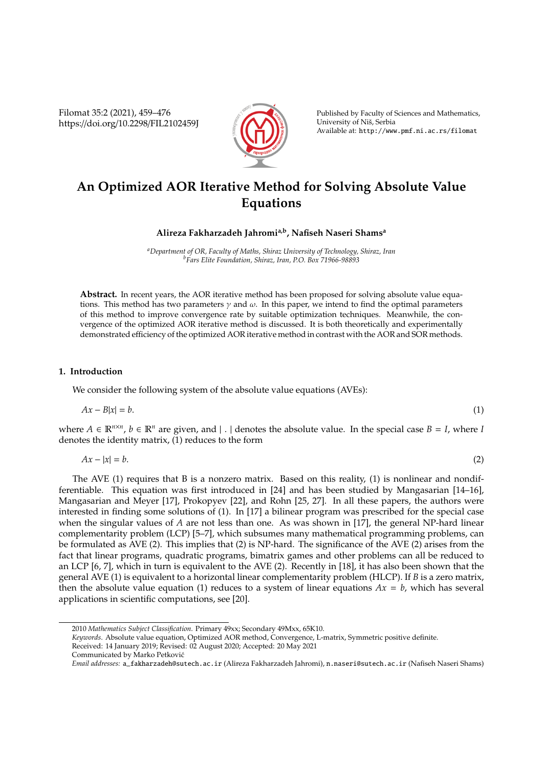Filomat 35:2 (2021), 459–476 https://doi.org/10.2298/FIL2102459J



Published by Faculty of Sciences and Mathematics, University of Niš, Serbia Available at: http://www.pmf.ni.ac.rs/filomat

# **An Optimized AOR Iterative Method for Solving Absolute Value Equations**

**Alireza Fakharzadeh Jahromia,b, Nafiseh Naseri Shams<sup>a</sup>**

*<sup>a</sup>Department of OR, Faculty of Maths, Shiraz University of Technology, Shiraz, Iran <sup>b</sup>Fars Elite Foundation, Shiraz, Iran, P.O. Box 71966-98893*

**Abstract.** In recent years, the AOR iterative method has been proposed for solving absolute value equations. This method has two parameters  $\gamma$  and  $\omega$ . In this paper, we intend to find the optimal parameters of this method to improve convergence rate by suitable optimization techniques. Meanwhile, the convergence of the optimized AOR iterative method is discussed. It is both theoretically and experimentally demonstrated efficiency of the optimized AOR iterative method in contrast with the AOR and SOR methods.

# **1. Introduction**

We consider the following system of the absolute value equations (AVEs):

$$
Ax - B|x| = b.\tag{1}
$$

where  $A \in \mathbb{R}^{n \times n}$ ,  $b \in \mathbb{R}^n$  are given, and  $| \cdot |$  denotes the absolute value. In the special case  $B = I$ , where *I* denotes the identity matrix, (1) reduces to the form

$$
Ax - |x| = b. \tag{2}
$$

The AVE (1) requires that B is a nonzero matrix. Based on this reality, (1) is nonlinear and nondifferentiable. This equation was first introduced in [24] and has been studied by Mangasarian [14–16], Mangasarian and Meyer [17], Prokopyev [22], and Rohn [25, 27]. In all these papers, the authors were interested in finding some solutions of (1). In [17] a bilinear program was prescribed for the special case when the singular values of *A* are not less than one. As was shown in [17], the general NP-hard linear complementarity problem (LCP) [5–7], which subsumes many mathematical programming problems, can be formulated as AVE (2). This implies that (2) is NP-hard. The significance of the AVE (2) arises from the fact that linear programs, quadratic programs, bimatrix games and other problems can all be reduced to an LCP [6, 7], which in turn is equivalent to the AVE (2). Recently in [18], it has also been shown that the general AVE (1) is equivalent to a horizontal linear complementarity problem (HLCP). If *B* is a zero matrix, then the absolute value equation (1) reduces to a system of linear equations  $Ax = b$ , which has several applications in scientific computations, see [20].

<sup>2010</sup> *Mathematics Subject Classification*. Primary 49xx; Secondary 49Mxx, 65K10.

*Keywords*. Absolute value equation, Optimized AOR method, Convergence, L-matrix, Symmetric positive definite.

Received: 14 January 2019; Revised: 02 August 2020; Accepted: 20 May 2021

Communicated by Marko Petkovic´

*Email addresses:* a\_fakharzadeh@sutech.ac.ir (Alireza Fakharzadeh Jahromi), n.naseri@sutech.ac.ir (Nafiseh Naseri Shams)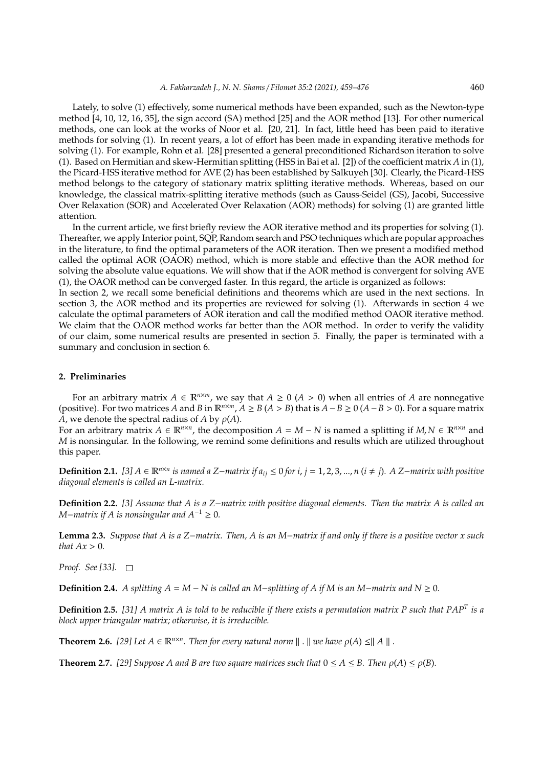Lately, to solve (1) effectively, some numerical methods have been expanded, such as the Newton-type method [4, 10, 12, 16, 35], the sign accord (SA) method [25] and the AOR method [13]. For other numerical methods, one can look at the works of Noor et al. [20, 21]. In fact, little heed has been paid to iterative methods for solving (1). In recent years, a lot of effort has been made in expanding iterative methods for solving (1). For example, Rohn et al. [28] presented a general preconditioned Richardson iteration to solve (1). Based on Hermitian and skew-Hermitian splitting (HSS in Bai et al. [2]) of the coefficient matrix *A* in (1), the Picard-HSS iterative method for AVE (2) has been established by Salkuyeh [30]. Clearly, the Picard-HSS method belongs to the category of stationary matrix splitting iterative methods. Whereas, based on our knowledge, the classical matrix-splitting iterative methods (such as Gauss-Seidel (GS), Jacobi, Successive Over Relaxation (SOR) and Accelerated Over Relaxation (AOR) methods) for solving (1) are granted little attention.

In the current article, we first briefly review the AOR iterative method and its properties for solving (1). Thereafter, we apply Interior point, SQP, Random search and PSO techniques which are popular approaches in the literature, to find the optimal parameters of the AOR iteration. Then we present a modified method called the optimal AOR (OAOR) method, which is more stable and effective than the AOR method for solving the absolute value equations. We will show that if the AOR method is convergent for solving AVE (1), the OAOR method can be converged faster. In this regard, the article is organized as follows:

In section 2, we recall some beneficial definitions and theorems which are used in the next sections. In section 3, the AOR method and its properties are reviewed for solving (1). Afterwards in section 4 we calculate the optimal parameters of AOR iteration and call the modified method OAOR iterative method. We claim that the OAOR method works far better than the AOR method. In order to verify the validity of our claim, some numerical results are presented in section 5. Finally, the paper is terminated with a summary and conclusion in section 6.

# **2. Preliminaries**

For an arbitrary matrix  $A \in \mathbb{R}^{n \times m}$ , we say that  $A \ge 0$  ( $A > 0$ ) when all entries of *A* are nonnegative (positive). For two matrices *A* and *B* in  $\mathbb{R}^{n \times m}$ ,  $A \geq B(A > B)$  that is  $A - B \geq 0$   $(A - B > 0)$ . For a square matrix *A*, we denote the spectral radius of *A* by  $\rho(A)$ .

For an arbitrary matrix  $A \in \mathbb{R}^{n \times n}$ , the decomposition  $A = M - N$  is named a splitting if  $M, N \in \mathbb{R}^{n \times n}$  and *M* is nonsingular. In the following, we remind some definitions and results which are utilized throughout this paper.

**Definition 2.1.** [3]  $A \in \mathbb{R}^{n \times n}$  is named a Z−matrix if  $a_{ij} \le 0$  for *i*, *j* = 1, 2, 3, ..., *n* (*i* ≠ *j*). A Z−matrix with positive *diagonal elements is called an L-matrix.*

**Definition 2.2.** *[3] Assume that A is a Z*−*matrix with positive diagonal elements. Then the matrix A is called an M*−*matrix if A is nonsingular and*  $A^{-1} \geq 0$ *.* 

**Lemma 2.3.** *Suppose that A is a Z*−*matrix. Then, A is an M*−*matrix if and only if there is a positive vector x such that*  $Ax > 0$ *.* 

*Proof. See [33].*

**Definition 2.4.** *A splitting*  $A = M - N$  *is called an*  $M$ −*splitting of*  $A$  *if*  $M$  *is an*  $M$ −*matrix and*  $N \ge 0$ *.* 

**Definition 2.5.** *[31] A matrix A is told to be reducible if there exists a permutation matrix P such that PAP<sup>T</sup> is a block upper triangular matrix; otherwise, it is irreducible.*

**Theorem 2.6.** [29] Let  $A \in \mathbb{R}^{n \times n}$ . Then for every natural norm  $\| \cdot \|$  we have  $\rho(A) \leq \|A\|$ .

**Theorem 2.7.** *[29] Suppose A and B are two square matrices such that*  $0 \le A \le B$ *. Then*  $\rho(A) \le \rho(B)$ *.*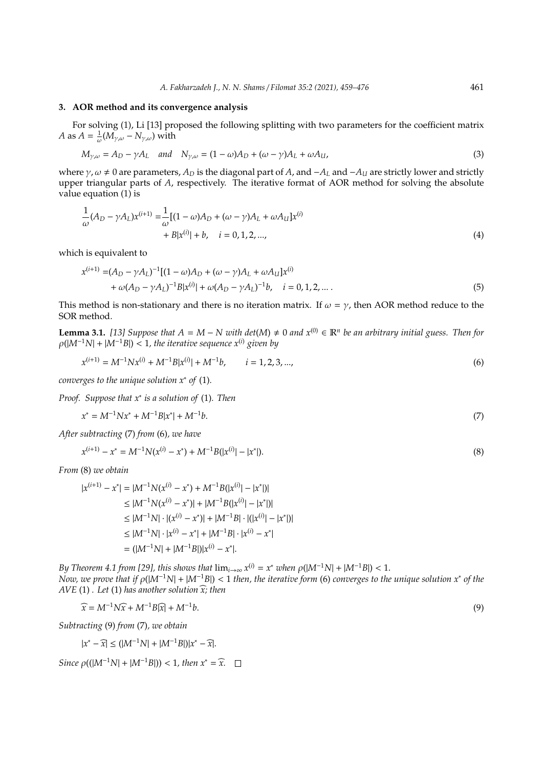# **3. AOR method and its convergence analysis**

For solving (1), Li [13] proposed the following splitting with two parameters for the coefficient matrix *A* as  $A = \frac{1}{\omega} (M_{\gamma,\omega} - N_{\gamma,\omega})$  with

$$
M_{\gamma,\omega} = A_D - \gamma A_L \quad \text{and} \quad N_{\gamma,\omega} = (1 - \omega)A_D + (\omega - \gamma)A_L + \omega A_U,
$$
\n(3)

where  $\gamma$ ,  $\omega$  ≠ 0 are parameters,  $A_D$  is the diagonal part of  $A$ , and  $-A_L$  and  $-A_U$  are strictly lower and strictly upper triangular parts of *A*, respectively. The iterative format of AOR method for solving the absolute value equation (1) is

$$
\frac{1}{\omega}(A_D - \gamma A_L)x^{(i+1)} = \frac{1}{\omega}[(1 - \omega)A_D + (\omega - \gamma)A_L + \omega A_U]x^{(i)} + B|x^{(i)}| + b, \quad i = 0, 1, 2, ...,
$$
\n(4)

which is equivalent to

$$
x^{(i+1)} = (A_D - \gamma A_L)^{-1} [(1 - \omega)A_D + (\omega - \gamma)A_L + \omega A_U] x^{(i)}
$$
  
+  $\omega (A_D - \gamma A_L)^{-1} B |x^{(i)}| + \omega (A_D - \gamma A_L)^{-1} b, \quad i = 0, 1, 2, ...$  (5)

This method is non-stationary and there is no iteration matrix. If  $\omega = \gamma$ , then AOR method reduce to the SOR method.

**Lemma 3.1.** [13] Suppose that  $A = M - N$  with det(M) ≠ 0 and  $x^{(0)} \in \mathbb{R}^n$  be an arbitrary initial guess. Then for  $\rho(|M^{-1}N| + |M^{-1}B|)$  < 1, the iterative sequence  $x^{(i)}$  given by

$$
x^{(i+1)} = M^{-1} N x^{(i)} + M^{-1} B |x^{(i)}| + M^{-1} b, \qquad i = 1, 2, 3, ..., \tag{6}
$$

*converges to the unique solution x*<sup>∗</sup> *of* (1)*.*

*Proof. Suppose that x*<sup>∗</sup> *is a solution of* (1)*. Then*

$$
x^* = M^{-1}Nx^* + M^{-1}B|x^*| + M^{-1}b.\tag{7}
$$

*After subtracting* (7) *from* (6)*, we have*

$$
x^{(i+1)} - x^* = M^{-1}N(x^{(i)} - x^*) + M^{-1}B(|x^{(i)}| - |x^*|). \tag{8}
$$

*From* (8) *we obtain*

$$
|x^{(i+1)} - x^*| = |M^{-1}N(x^{(i)} - x^*) + M^{-1}B(|x^{(i)}| - |x^*|)|
$$
  
\n
$$
\leq |M^{-1}N(x^{(i)} - x^*)| + |M^{-1}B(|x^{(i)}| - |x^*|)|
$$
  
\n
$$
\leq |M^{-1}N| \cdot |(x^{(i)} - x^*)| + |M^{-1}B| \cdot |(|x^{(i)}| - |x^*|)|
$$
  
\n
$$
\leq |M^{-1}N| \cdot |x^{(i)} - x^*| + |M^{-1}B| \cdot |x^{(i)} - x^*|
$$
  
\n
$$
= (|M^{-1}N| + |M^{-1}B|)|x^{(i)} - x^*|.
$$

*By Theorem 4.1 from [29], this shows that*  $\lim_{i\to\infty} x^{(i)} = x^*$  *when*  $\rho(|M^{-1}N| + |M^{-1}B|) < 1$ . *Now, we prove that if* ρ(|*M*<sup>−</sup><sup>1</sup>*N*| + |*M*<sup>−</sup><sup>1</sup>*B*|) < 1 *then, the iterative form* (6) *converges to the unique solution x*<sup>∗</sup> *of the AVE* (1) *. Let* (1) *has another solution*  $\widehat{x}$ *; then* 

$$
\widehat{x} = M^{-1}N\widehat{x} + M^{-1}B\widehat{x} + M^{-1}b. \tag{9}
$$

*Subtracting* (9) *from* (7)*, we obtain*

$$
|x^* - \widehat{x}| \le (|M^{-1}N| + |M^{-1}B|)|x^* - \widehat{x}|.
$$

*Since*  $\rho((|M^{-1}N| + |M^{-1}B|)) < 1$ , then  $x^* = \hat{x}$ .  $\Box$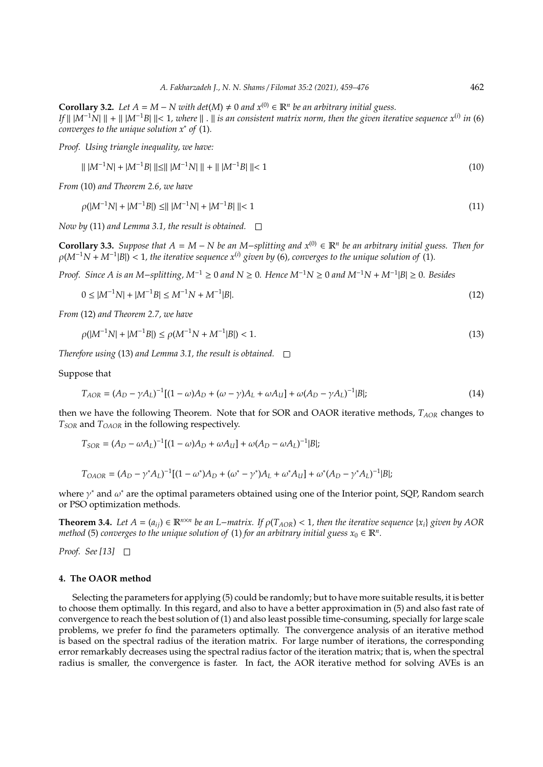**Corollary 3.2.** *Let*  $A = M - N$  *with det*( $M$ ) ≠ 0 *and*  $x^{(0)} \in \mathbb{R}^n$  *be an arbitrary initial guess. If*  $||$   $|M^{-1}N|| + ||$   $|M^{-1}B|| < 1$ , where  $|| \n$ .  $||$  is an consistent matrix norm, then the given iterative sequence  $x^{(i)}$  in (6) *converges to the unique solution x*<sup>∗</sup> *of* (1)*.*

*Proof. Using triangle inequality, we have:*

$$
\| |M^{-1}N| + |M^{-1}B| \| \le \| |M^{-1}N| \| + \| |M^{-1}B| \| < 1
$$
\n(10)

*From* (10) *and Theorem 2.6, we have*

$$
\rho(|M^{-1}N| + |M^{-1}B|) \le |||M^{-1}N| + |M^{-1}B||| < 1\tag{11}
$$

*Now by* (11) *and Lemma 3.1, the result is obtained.*

**Corollary 3.3.** *Suppose that*  $A = M - N$  *be an* M−*splitting and*  $x^{(0)} \in \mathbb{R}^n$  *be an arbitrary initial guess. Then for*  $\rho(M^{-1}N + M^{-1}|B|)$  < 1, the iterative sequence  $x^{(i)}$  given by (6), converges to the unique solution of (1).

*Proof. Since A is an M*−*splitting, M*−<sup>1</sup> ≥ 0 *and N* ≥ 0*. Hence M*−1*N* ≥ 0 *and M*−1*N* + *M*−<sup>1</sup> |*B*| ≥ 0*. Besides*

$$
0 \le |M^{-1}N| + |M^{-1}B| \le M^{-1}N + M^{-1}|B|.
$$
\n(12)

*From* (12) *and Theorem 2.7, we have*

$$
\rho(|M^{-1}N| + |M^{-1}B|) \le \rho(M^{-1}N + M^{-1}|B|) < 1. \tag{13}
$$

*Therefore using* (13) *and Lemma 3.1, the result is obtained.*

Suppose that

$$
T_{AOR} = (A_D - \gamma A_L)^{-1} [(1 - \omega)A_D + (\omega - \gamma)A_L + \omega A_U] + \omega (A_D - \gamma A_L)^{-1} |B|; \tag{14}
$$

then we have the following Theorem. Note that for SOR and OAOR iterative methods, *TAOR* changes to *TSOR* and *TOAOR* in the following respectively.

$$
T_{SOR}=(A_D-\omega A_L)^{-1}[(1-\omega)A_D+\omega A_U]+\omega (A_D-\omega A_L)^{-1}|B|;
$$

$$
T_{OAOR} = (A_D - \gamma^* A_L)^{-1} [(1 - \omega^*) A_D + (\omega^* - \gamma^*) A_L + \omega^* A_U] + \omega^* (A_D - \gamma^* A_L)^{-1} |B|;
$$

where  $\gamma^*$  and  $\omega^*$  are the optimal parameters obtained using one of the Interior point, SQP, Random search or PSO optimization methods.

**Theorem 3.4.** Let  $A = (a_{ij}) \in \mathbb{R}^{n \times n}$  be an L−matrix. If  $\rho(T_{AOR}) < 1$ , then the iterative sequence {*x<sub>i</sub>*} given by AOR *method* (5) *converges to the unique solution of* (1) *for an arbitrary initial guess*  $x_0 \in \mathbb{R}^n$ *.* 

*Proof. See [13]*

## **4. The OAOR method**

Selecting the parameters for applying (5) could be randomly; but to have more suitable results, it is better to choose them optimally. In this regard, and also to have a better approximation in (5) and also fast rate of convergence to reach the best solution of (1) and also least possible time-consuming, specially for large scale problems, we prefer fo find the parameters optimally. The convergence analysis of an iterative method is based on the spectral radius of the iteration matrix. For large number of iterations, the corresponding error remarkably decreases using the spectral radius factor of the iteration matrix; that is, when the spectral radius is smaller, the convergence is faster. In fact, the AOR iterative method for solving AVEs is an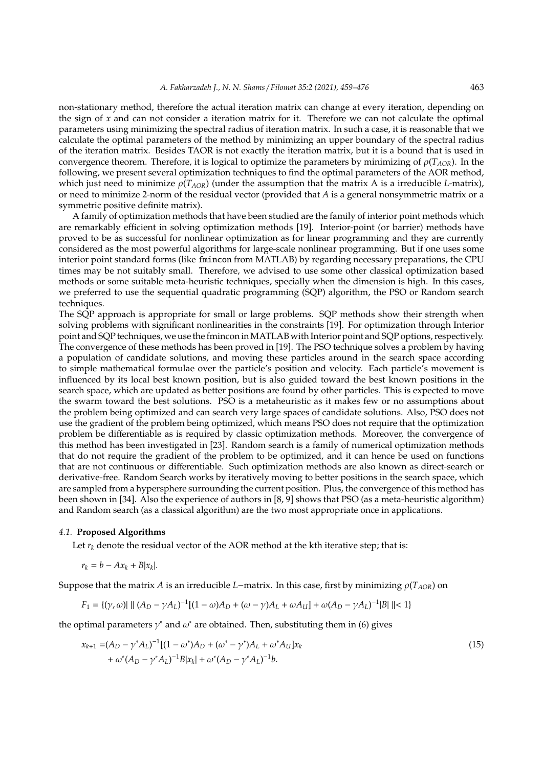non-stationary method, therefore the actual iteration matrix can change at every iteration, depending on the sign of *x* and can not consider a iteration matrix for it. Therefore we can not calculate the optimal parameters using minimizing the spectral radius of iteration matrix. In such a case, it is reasonable that we calculate the optimal parameters of the method by minimizing an upper boundary of the spectral radius of the iteration matrix. Besides TAOR is not exactly the iteration matrix, but it is a bound that is used in convergence theorem. Therefore, it is logical to optimize the parameters by minimizing of  $\rho(T_{AOR})$ . In the following, we present several optimization techniques to find the optimal parameters of the AOR method, which just need to minimize ρ(*TAOR*) (under the assumption that the matrix A is a irreducible *L*-matrix), or need to minimize 2-norm of the residual vector (provided that *A* is a general nonsymmetric matrix or a symmetric positive definite matrix).

A family of optimization methods that have been studied are the family of interior point methods which are remarkably efficient in solving optimization methods [19]. Interior-point (or barrier) methods have proved to be as successful for nonlinear optimization as for linear programming and they are currently considered as the most powerful algorithms for large-scale nonlinear programming. But if one uses some interior point standard forms (like fmincon from MATLAB) by regarding necessary preparations, the CPU times may be not suitably small. Therefore, we advised to use some other classical optimization based methods or some suitable meta-heuristic techniques, specially when the dimension is high. In this cases, we preferred to use the sequential quadratic programming (SQP) algorithm, the PSO or Random search techniques.

The SQP approach is appropriate for small or large problems. SQP methods show their strength when solving problems with significant nonlinearities in the constraints [19]. For optimization through Interior point and SQP techniques, we use the fmincon inMATLAB with Interior point and SQP options, respectively. The convergence of these methods has been proved in [19]. The PSO technique solves a problem by having a population of candidate solutions, and moving these particles around in the search space according to simple mathematical formulae over the particle's position and velocity. Each particle's movement is influenced by its local best known position, but is also guided toward the best known positions in the search space, which are updated as better positions are found by other particles. This is expected to move the swarm toward the best solutions. PSO is a metaheuristic as it makes few or no assumptions about the problem being optimized and can search very large spaces of candidate solutions. Also, PSO does not use the gradient of the problem being optimized, which means PSO does not require that the optimization problem be differentiable as is required by classic optimization methods. Moreover, the convergence of this method has been investigated in [23]. Random search is a family of numerical optimization methods that do not require the gradient of the problem to be optimized, and it can hence be used on functions that are not continuous or differentiable. Such optimization methods are also known as direct-search or derivative-free. Random Search works by iteratively moving to better positions in the search space, which are sampled from a hypersphere surrounding the current position. Plus, the convergence of this method has been shown in [34]. Also the experience of authors in [8, 9] shows that PSO (as a meta-heuristic algorithm) and Random search (as a classical algorithm) are the two most appropriate once in applications.

# *4.1.* **Proposed Algorithms**

Let  $r_k$  denote the residual vector of the AOR method at the kth iterative step; that is:

$$
r_k = b - Ax_k + B|x_k|.
$$

Suppose that the matrix *A* is an irreducible *L*−matrix. In this case, first by minimizing  $\rho(T_{AOR})$  on

$$
F_1 = \{(\gamma, \omega) | \mid \|(A_D - \gamma A_L)^{-1}[(1-\omega)A_D + (\omega - \gamma)A_L + \omega A_U] + \omega(A_D - \gamma A_L)^{-1} |B| \mid \le 1\}
$$

the optimal parameters  $\gamma^*$  and  $\omega^*$  are obtained. Then, substituting them in (6) gives

$$
x_{k+1} = (A_D - \gamma^* A_L)^{-1} [(1 - \omega^*) A_D + (\omega^* - \gamma^*) A_L + \omega^* A_U] x_k
$$
  
+ 
$$
\omega^* (A_D - \gamma^* A_L)^{-1} B |x_k| + \omega^* (A_D - \gamma^* A_L)^{-1} b.
$$
 (15)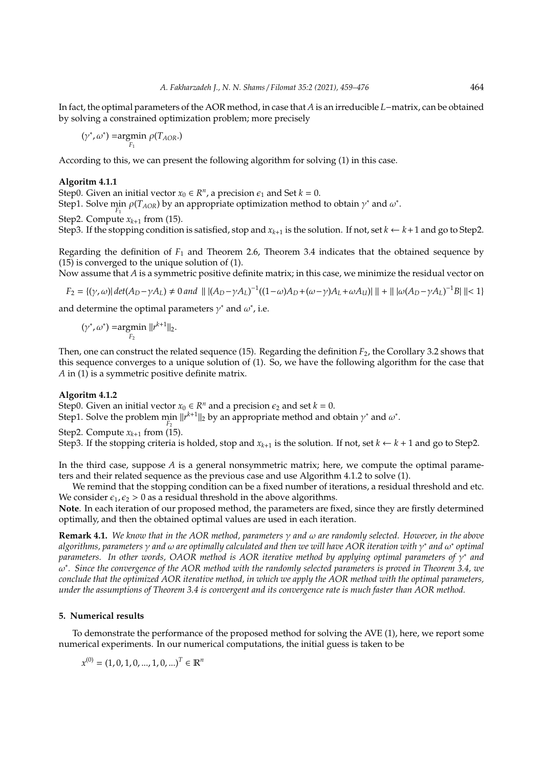In fact, the optimal parameters of the AOR method, in case that *A* is an irreducible *L*−matrix, can be obtained by solving a constrained optimization problem; more precisely

$$
(\gamma^*,\omega^*) = \underset{F_1}{\text{argmin}} \; \rho(T_{AOR}.)
$$

According to this, we can present the following algorithm for solving (1) in this case.

#### **Algoritm 4.1.1**

Step0. Given an initial vector  $x_0 \in R^n$ , a precision  $\epsilon_1$  and Set  $k = 0$ .

Step1. Solve  $\min_{F_1} \rho(T_{AOR})$  by an appropriate optimization method to obtain  $\gamma^*$  and  $\omega^*$ .

Step2. Compute  $x_{k+1}$  from (15).

Step3. If the stopping condition is satisfied, stop and  $x_{k+1}$  is the solution. If not, set  $k \leftarrow k+1$  and go to Step2.

Regarding the definition of *F*<sup>1</sup> and Theorem 2.6, Theorem 3.4 indicates that the obtained sequence by (15) is converged to the unique solution of (1).

Now assume that *A* is a symmetric positive definite matrix; in this case, we minimize the residual vector on

$$
F_2 = \{(\gamma, \omega) | \det(A_D - \gamma A_L) \neq 0 \text{ and } || (A_D - \gamma A_L)^{-1}((1 - \omega)A_D + (\omega - \gamma)A_L + \omega A_U) || + || |\omega(A_D - \gamma A_L)^{-1}B|| < 1 \}
$$

and determine the optimal parameters  $\gamma^*$  and  $\omega^*$ , i.e.

 $(\gamma^*, \omega^*)$  =argmin *F*2  $||r^{k+1}||_2.$ 

Then, one can construct the related sequence (15). Regarding the definition *F*2, the Corollary 3.2 shows that this sequence converges to a unique solution of (1). So, we have the following algorithm for the case that *A* in (1) is a symmetric positive definite matrix.

#### **Algoritm 4.1.2**

Step0. Given an initial vector  $x_0 \in R^n$  and a precision  $\epsilon_2$  and set  $k = 0$ .

Step1. Solve the problem min  $||r^{k+1}||_2$  by an appropriate method and obtain  $\gamma^*$  and  $\omega^*$ . *F*2

Step2. Compute  $x_{k+1}$  from (15).

Step3. If the stopping criteria is holded, stop and  $x_{k+1}$  is the solution. If not, set  $k \leftarrow k+1$  and go to Step2.

In the third case, suppose *A* is a general nonsymmetric matrix; here, we compute the optimal parameters and their related sequence as the previous case and use Algorithm 4.1.2 to solve (1).

We remind that the stopping condition can be a fixed number of iterations, a residual threshold and etc. We consider  $\epsilon_1, \epsilon_2 > 0$  as a residual threshold in the above algorithms.

**Note**. In each iteration of our proposed method, the parameters are fixed, since they are firstly determined optimally, and then the obtained optimal values are used in each iteration.

**Remark 4.1.** *We know that in the AOR method, parameters* γ *and* ω *are randomly selected. However, in the above algorithms, parameters* γ *and* ω *are optimally calculated and then we will have AOR iteration with* γ ∗ *and* ω ∗ *optimal parameters.* In other words, OAOR method is AOR iterative method by applying optimal parameters of  $γ$ <sup>\*</sup> and ω ∗ *. Since the convergence of the AOR method with the randomly selected parameters is proved in Theorem 3.4, we conclude that the optimized AOR iterative method, in which we apply the AOR method with the optimal parameters, under the assumptions of Theorem 3.4 is convergent and its convergence rate is much faster than AOR method.*

# **5. Numerical results**

To demonstrate the performance of the proposed method for solving the AVE (1), here, we report some numerical experiments. In our numerical computations, the initial guess is taken to be

 $x^{(0)} = (1, 0, 1, 0, ..., 1, 0, ...)^{T} \in \mathbb{R}^{n}$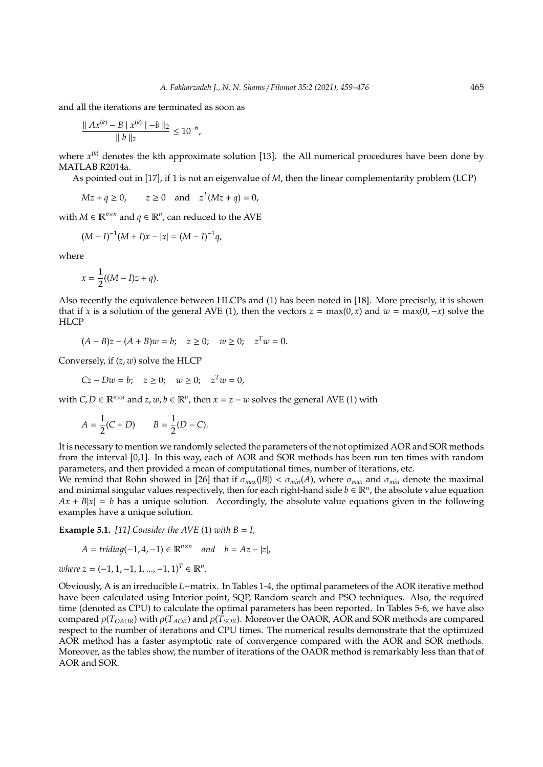and all the iterations are terminated as soon as

$$
\frac{\|Ax^{(k)} - B \mid x^{(k)}\| - b\|_2}{\|b\|_2} \le 10^{-6},
$$

where  $x^{(k)}$  denotes the kth approximate solution [13]. the All numerical procedures have been done by MATLAB R2014a.

As pointed out in [17], if 1 is not an eigenvalue of *M*, then the linear complementarity problem (LCP)

$$
Mz + q \ge 0, \qquad z \ge 0 \quad \text{and} \quad z^T(Mz + q) = 0,
$$

with  $M \in \mathbb{R}^{n \times n}$  and  $q \in \mathbb{R}^n$ , can reduced to the AVE

$$
(M-I)^{-1}(M+I)x-|x|=(M-I)^{-1}q,\\
$$

where

$$
x = \frac{1}{2}((M - I)z + q).
$$

Also recently the equivalence between HLCPs and (1) has been noted in [18]. More precisely, it is shown that if *x* is a solution of the general AVE (1), then the vectors  $z = \max(0, x)$  and  $w = \max(0, -x)$  solve the **HLCP** 

 $(A - B)z - (A + B)w = b; \quad z \ge 0; \quad w \ge 0; \quad z^T w = 0.$ 

Conversely, if (*z*, *w*) solve the HLCP

*Cz* − *Dw* = *b*; *z* ≥ 0; *w* ≥ 0; *z*<sup>*T</sup>w* = 0,</sup>

with  $C, D \in \mathbb{R}^{n \times n}$  and  $z, w, b \in \mathbb{R}^n$ , then  $x = z - w$  solves the general AVE (1) with

$$
A = \frac{1}{2}(C + D) \qquad B = \frac{1}{2}(D - C).
$$

It is necessary to mention we randomly selected the parameters of the not optimized AOR and SOR methods from the interval [0,1]. In this way, each of AOR and SOR methods has been run ten times with random parameters, and then provided a mean of computational times, number of iterations, etc.

We remind that Rohn showed in [26] that if  $\sigma_{max}(|B|) < \sigma_{min}(A)$ , where  $\sigma_{max}$  and  $\sigma_{min}$  denote the maximal and minimal singular values respectively, then for each right-hand side  $b \in \mathbb{R}^n$ , the absolute value equation  $Ax + B|x| = b$  has a unique solution. Accordingly, the absolute value equations given in the following examples have a unique solution.

**Example 5.1.** [11] Consider the AVE (1) with  $B = I$ ,

$$
A = tridiag(-1, 4, -1) \in \mathbb{R}^{n \times n} \quad and \quad b = Az - |z|,
$$

 $where z = (-1, 1, -1, 1, ..., -1, 1)^T \in \mathbb{R}^n$ .

Obviously, A is an irreducible *L*−matrix. In Tables 1-4, the optimal parameters of the AOR iterative method have been calculated using Interior point, SQP, Random search and PSO techniques. Also, the required time (denoted as CPU) to calculate the optimal parameters has been reported. In Tables 5-6, we have also compared  $\rho(T_{OAOR})$  with  $\rho(T_{AOR})$  and  $\rho(T_{SOR})$ . Moreover the OAOR, AOR and SOR methods are compared respect to the number of iterations and CPU times. The numerical results demonstrate that the optimized AOR method has a faster asymptotic rate of convergence compared with the AOR and SOR methods. Moreover, as the tables show, the number of iterations of the OAOR method is remarkably less than that of AOR and SOR.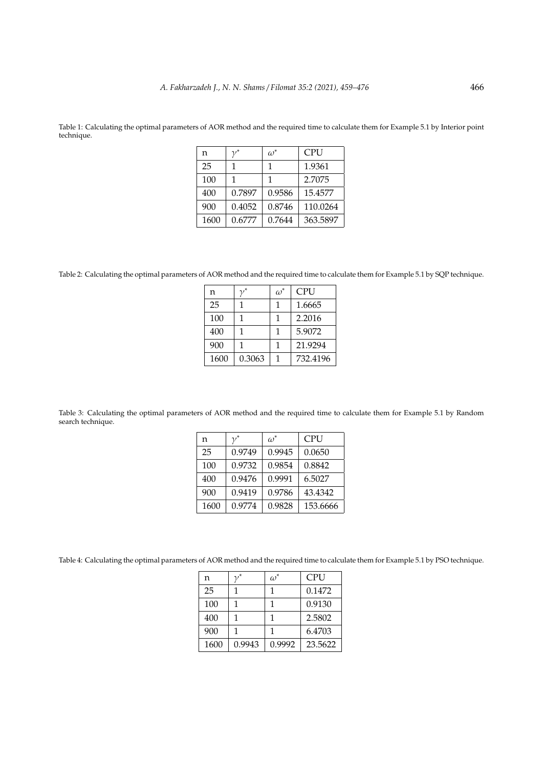| n   | $\omega$ <sup>-</sup> | PU<br>-⊥ |
|-----|-----------------------|----------|
| 25  |                       | 1.9361   |
| 100 |                       | 2.7075   |

400 0.7897 0.9586 15.4577 900 0.4052 0.8746 110.0264 1600 0.6777 0.7644 363.5897

Table 1: Calculating the optimal parameters of AOR method and the required time to calculate them for Example 5.1 by Interior point technique.

Table 2: Calculating the optimal parameters of AOR method and the required time to calculate them for Example 5.1 by SQP technique.

|      |        | $\omega^*$ | CPU      |
|------|--------|------------|----------|
| n    |        |            |          |
| 25   |        | 1          | 1.6665   |
| 100  |        | 1          | 2.2016   |
| 400  |        | 1          | 5.9072   |
| 900  |        |            | 21.9294  |
| 1600 | 0.3063 |            | 732.4196 |

Table 3: Calculating the optimal parameters of AOR method and the required time to calculate them for Example 5.1 by Random search technique.

| n    | $\nu^*$ | $\omega^*$ | <b>CPU</b> |
|------|---------|------------|------------|
| 25   | 0.9749  | 0.9945     | 0.0650     |
| 100  | 0.9732  | 0.9854     | 0.8842     |
| 400  | 0.9476  | 0.9991     | 6.5027     |
| 900  | 0.9419  | 0.9786     | 43.4342    |
| 1600 | 0.9774  | 0.9828     | 153.6666   |

Table 4: Calculating the optimal parameters of AOR method and the required time to calculate them for Example 5.1 by PSO technique.

| n    |        | $\omega^*$ | <b>CPU</b> |
|------|--------|------------|------------|
| 25   |        |            | 0.1472     |
| 100  | 1      |            | 0.9130     |
| 400  |        |            | 2.5802     |
| 900  |        |            | 6.4703     |
| 1600 | 0.9943 | 0.9992     | 23.5622    |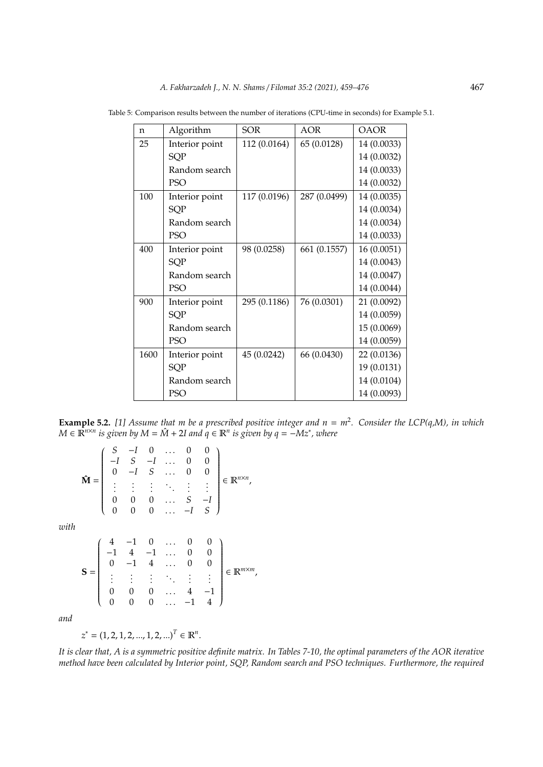| n    | Algorithm      | <b>SOR</b>   | AOR          | <b>OAOR</b> |
|------|----------------|--------------|--------------|-------------|
| 25   | Interior point | 112 (0.0164) | 65 (0.0128)  | 14 (0.0033) |
|      | SQP            |              |              | 14 (0.0032) |
|      | Random search  |              |              | 14 (0.0033) |
|      | PSO            |              |              | 14 (0.0032) |
| 100  | Interior point | 117 (0.0196) | 287 (0.0499) | 14 (0.0035) |
|      | SQP            |              |              | 14 (0.0034) |
|      | Random search  |              |              | 14 (0.0034) |
|      | PSO            |              |              | 14 (0.0033) |
| 400  | Interior point | 98 (0.0258)  | 661 (0.1557) | 16(0.0051)  |
|      | SQP            |              |              | 14 (0.0043) |
|      | Random search  |              |              | 14 (0.0047) |
|      | PSO            |              |              | 14 (0.0044) |
| 900  | Interior point | 295 (0.1186) | 76 (0.0301)  | 21 (0.0092) |
|      | SQP            |              |              | 14 (0.0059) |
|      | Random search  |              |              | 15 (0.0069) |
|      | PSO            |              |              | 14 (0.0059) |
| 1600 | Interior point | 45 (0.0242)  | 66 (0.0430)  | 22 (0.0136) |
|      | SQP            |              |              | 19 (0.0131) |
|      | Random search  |              |              | 14 (0.0104) |
|      | PSO            |              |              | 14 (0.0093) |

Table 5: Comparison results between the number of iterations (CPU-time in seconds) for Example 5.1.

**Example 5.2.** *[1] Assume that m be a prescribed positive integer and n* = *m*<sup>2</sup> *. Consider the LCP(q,M), in which M* ∈  $\mathbb{R}^{n \times n}$  *is given by M* =  $\hat{M}$  + 2*I* and  $q$  ∈  $\mathbb{R}^n$  *is given by*  $q$  =  $-Mz^*$ , where

$$
\hat{\mathbf{M}} = \left( \begin{array}{cccccc} S & -I & 0 & \dots & 0 & 0 \\ -I & S & -I & \dots & 0 & 0 \\ 0 & -I & S & \dots & 0 & 0 \\ \vdots & \vdots & \vdots & \ddots & \vdots & \vdots \\ 0 & 0 & 0 & \dots & S & -I \\ 0 & 0 & 0 & \dots & -I & S \end{array} \right) \in \mathbb{R}^{n \times n},
$$

*with*

$$
\mathbf{S} = \left( \begin{array}{cccccc} 4 & -1 & 0 & \dots & 0 & 0 \\ -1 & 4 & -1 & \dots & 0 & 0 \\ 0 & -1 & 4 & \dots & 0 & 0 \\ \vdots & \vdots & \vdots & \ddots & \vdots & \vdots \\ 0 & 0 & 0 & \dots & 4 & -1 \\ 0 & 0 & 0 & \dots & -1 & 4 \end{array} \right) \in \mathbb{R}^{m \times m},
$$

*and*

 $z^* = (1, 2, 1, 2, ..., 1, 2, ...)$ <sup>T</sup>  $\in \mathbb{R}^n$ .

*It is clear that, A is a symmetric positive definite matrix. In Tables 7-10, the optimal parameters of the AOR iterative method have been calculated by Interior point, SQP, Random search and PSO techniques. Furthermore, the required*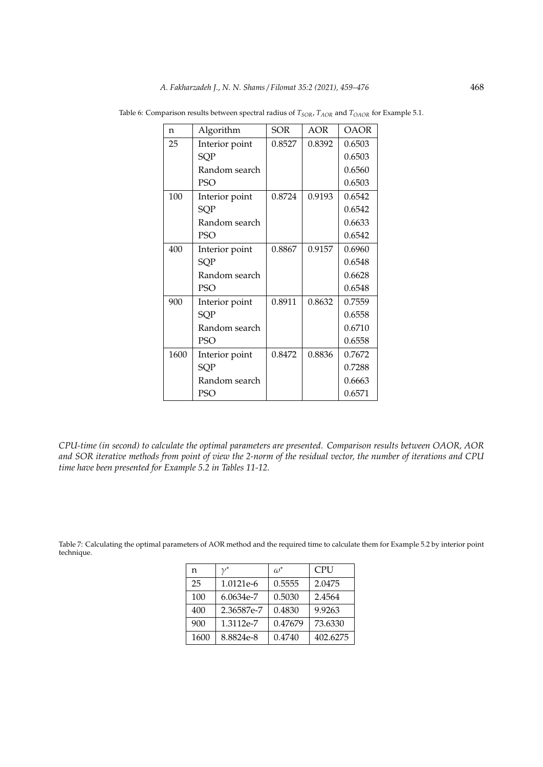| n    | Algorithm      | <b>SOR</b> | AOR    | <b>OAOR</b> |
|------|----------------|------------|--------|-------------|
| 25   | Interior point | 0.8527     | 0.8392 | 0.6503      |
|      | SQP            |            |        | 0.6503      |
|      | Random search  |            |        | 0.6560      |
|      | <b>PSO</b>     |            |        | 0.6503      |
| 100  | Interior point | 0.8724     | 0.9193 | 0.6542      |
|      | <b>SQP</b>     |            |        | 0.6542      |
|      | Random search  |            |        | 0.6633      |
|      | PSO            |            |        | 0.6542      |
| 400  | Interior point | 0.8867     | 0.9157 | 0.6960      |
|      | SQP            |            |        | 0.6548      |
|      | Random search  |            |        | 0.6628      |
|      | PSO            |            |        | 0.6548      |
| 900  | Interior point | 0.8911     | 0.8632 | 0.7559      |
|      | SQP            |            |        | 0.6558      |
|      | Random search  |            |        | 0.6710      |
|      | <b>PSO</b>     |            |        | 0.6558      |
| 1600 | Interior point | 0.8472     | 0.8836 | 0.7672      |
|      | <b>SQP</b>     |            |        | 0.7288      |
|      | Random search  |            |        | 0.6663      |
|      | PSO            |            |        | 0.6571      |

Table 6: Comparison results between spectral radius of  $T_{SOR}$  ,  $T_{AOR}$  and  $T_{OAOR}$  for Example 5.1.

*CPU-time (in second) to calculate the optimal parameters are presented. Comparison results between OAOR, AOR and SOR iterative methods from point of view the 2-norm of the residual vector, the number of iterations and CPU time have been presented for Example 5.2 in Tables 11-12.*

Table 7: Calculating the optimal parameters of AOR method and the required time to calculate them for Example 5.2 by interior point technique.

| n    | $\nu^*$    | $\omega^*$ | <b>CPU</b> |
|------|------------|------------|------------|
| 25   | 1.0121e-6  | 0.5555     | 2.0475     |
| 100  | 6.0634e-7  | 0.5030     | 2.4564     |
| 400  | 2.36587e-7 | 0.4830     | 9.9263     |
| 900  | 1.3112e-7  | 0.47679    | 73.6330    |
| 1600 | 8.8824e-8  | 0.4740     | 402.6275   |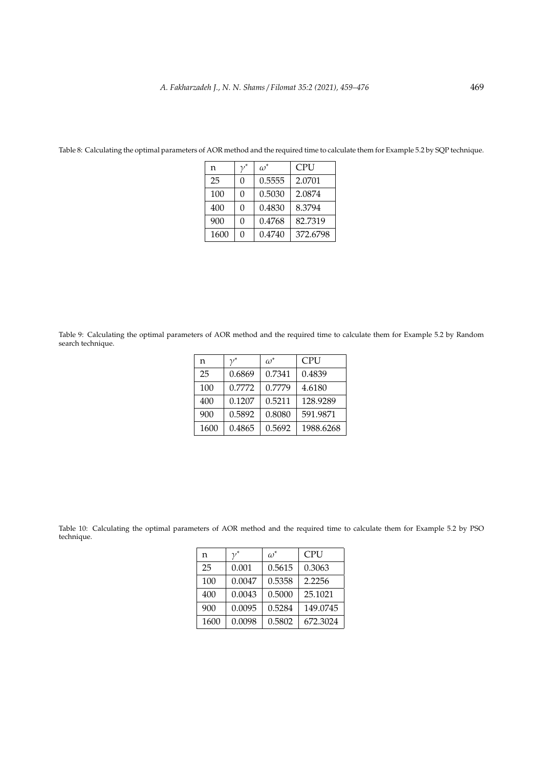| n    |   | $\omega^*$ | CPU      |
|------|---|------------|----------|
| 25   | O | 0.5555     | 2.0701   |
| 100  | O | 0.5030     | 2.0874   |
| 400  | O | 0.4830     | 8.3794   |
| 900  | O | 0.4768     | 82.7319  |
| 1600 | O | 0.4740     | 372.6798 |

Table 8: Calculating the optimal parameters of AOR method and the required time to calculate them for Example 5.2 by SQP technique.

Table 9: Calculating the optimal parameters of AOR method and the required time to calculate them for Example 5.2 by Random search technique.

| n    | $\nu^*$ | $\omega^*$ | <b>CPU</b> |
|------|---------|------------|------------|
| 25   | 0.6869  | 0.7341     | 0.4839     |
| 100  | 0.7772  | 0.7779     | 4.6180     |
| 400  | 0.1207  | 0.5211     | 128.9289   |
| 900  | 0.5892  | 0.8080     | 591.9871   |
| 1600 | 0.4865  | 0.5692     | 1988.6268  |

Table 10: Calculating the optimal parameters of AOR method and the required time to calculate them for Example 5.2 by PSO technique.

| n    | $\nu^*$ | $\omega^*$ | <b>CPU</b> |
|------|---------|------------|------------|
| 25   | 0.001   | 0.5615     | 0.3063     |
| 100  | 0.0047  | 0.5358     | 2.2256     |
| 400  | 0.0043  | 0.5000     | 25.1021    |
| 900  | 0.0095  | 0.5284     | 149.0745   |
| 1600 | 0.0098  | 0.5802     | 672.3024   |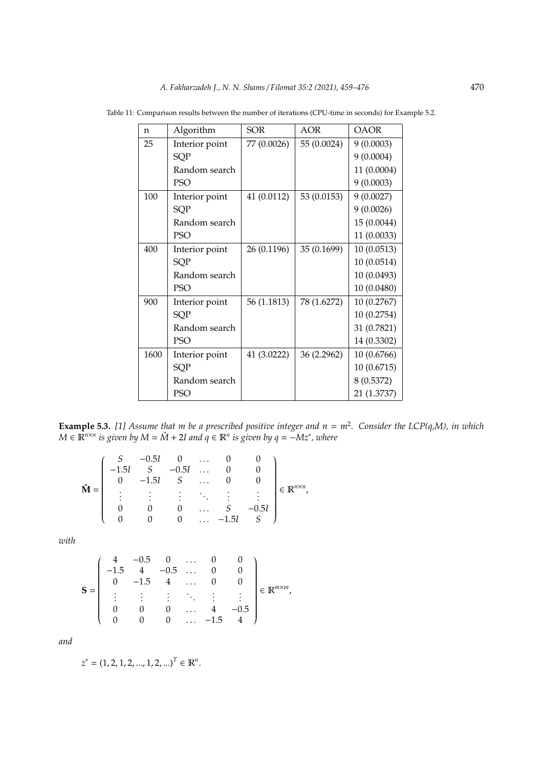| n    | Algorithm      | <b>SOR</b>  | <b>AOR</b>  | <b>OAOR</b> |
|------|----------------|-------------|-------------|-------------|
| 25   | Interior point | 77 (0.0026) | 55 (0.0024) | 9(0.0003)   |
|      | SQP            |             |             | 9(0.0004)   |
|      | Random search  |             |             | 11 (0.0004) |
|      | <b>PSO</b>     |             |             | 9(0.0003)   |
| 100  | Interior point | 41 (0.0112) | 53 (0.0153) | 9(0.0027)   |
|      | SQP            |             |             | 9(0.0026)   |
|      | Random search  |             |             | 15 (0.0044) |
|      | <b>PSO</b>     |             |             | 11 (0.0033) |
| 400  | Interior point | 26 (0.1196) | 35 (0.1699) | 10(0.0513)  |
|      | SQP            |             |             | 10 (0.0514) |
|      | Random search  |             |             | 10 (0.0493) |
|      | <b>PSO</b>     |             |             | 10 (0.0480) |
| 900  | Interior point | 56 (1.1813) | 78 (1.6272) | 10 (0.2767) |
|      | SQP            |             |             | 10 (0.2754) |
|      | Random search  |             |             | 31 (0.7821) |
|      | <b>PSO</b>     |             |             | 14 (0.3302) |
| 1600 | Interior point | 41 (3.0222) | 36 (2.2962) | 10 (0.6766) |
|      | SQP            |             |             | 10 (0.6715) |
|      | Random search  |             |             | 8 (0.5372)  |
|      | <b>PSO</b>     |             |             | 21 (1.3737) |

Table 11: Comparison results between the number of iterations (CPU-time in seconds) for Example 5.2.

**Example 5.3.** [1] Assume that m be a prescribed positive integer and  $n = m^2$ . Consider the LCP(q,M), in which *M* ∈  $\mathbb{R}^{n \times n}$  *is given by M* =  $\hat{M}$  + 2*I* and  $q$  ∈  $\mathbb{R}^n$  *is given by*  $q$  =  $-Mz^*$ , where

$$
\hat{\mathbf{M}} = \left( \begin{array}{ccccc} S & -0.5I & 0 & \dots & 0 & 0 \\ -1.5I & S & -0.5I & \dots & 0 & 0 \\ 0 & -1.5I & S & \dots & 0 & 0 \\ \vdots & \vdots & \vdots & \ddots & \vdots & \vdots \\ 0 & 0 & 0 & \dots & S & -0.5I \\ 0 & 0 & 0 & \dots & -1.5I & S \end{array} \right) \in \mathbb{R}^{n \times n},
$$

*with*

$$
\mathbf{S} = \left( \begin{array}{cccccc} 4 & -0.5 & 0 & \dots & 0 & 0 \\ -1.5 & 4 & -0.5 & \dots & 0 & 0 \\ 0 & -1.5 & 4 & \dots & 0 & 0 \\ \vdots & \vdots & \vdots & \ddots & \vdots & \vdots \\ 0 & 0 & 0 & \dots & 4 & -0.5 \\ 0 & 0 & 0 & \dots & -1.5 & 4 \end{array} \right) \in \mathbb{R}^{m \times m},
$$

*and*

$$
z^* = (1, 2, 1, 2, ..., 1, 2, ...)^{T} \in \mathbb{R}^{n}.
$$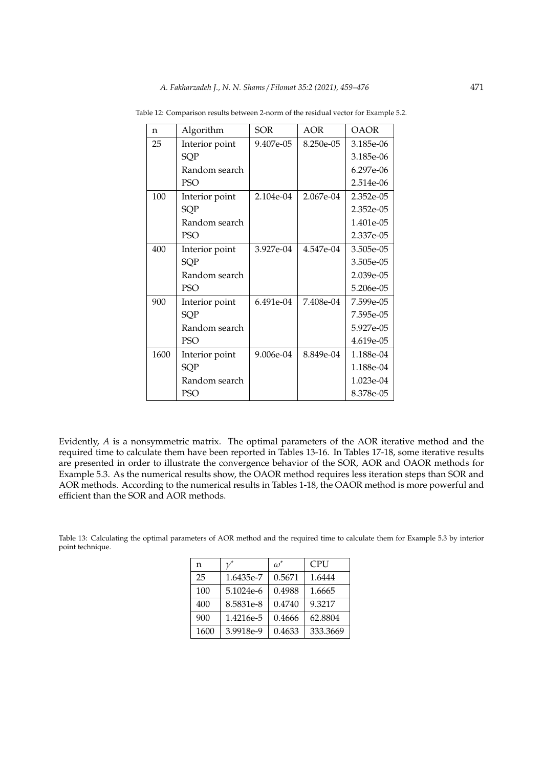| n    | Algorithm      | SOR       | AOR       | OAOR      |
|------|----------------|-----------|-----------|-----------|
| 25   | Interior point | 9.407e-05 | 8.250e-05 | 3.185e-06 |
|      | SQP            |           |           | 3.185e-06 |
|      | Random search  |           |           | 6.297e-06 |
|      | <b>PSO</b>     |           |           | 2.514e-06 |
| 100  | Interior point | 2.104e-04 | 2.067e-04 | 2.352e-05 |
|      | SQP            |           |           | 2.352e-05 |
|      | Random search  |           |           | 1.401e-05 |
|      | PSO            |           |           | 2.337e-05 |
| 400  | Interior point | 3.927e-04 | 4.547e-04 | 3.505e-05 |
|      | <b>SQP</b>     |           |           | 3.505e-05 |
|      | Random search  |           |           | 2.039e-05 |
|      | PSO            |           |           | 5.206e-05 |
| 900  | Interior point | 6.491e-04 | 7.408e-04 | 7.599e-05 |
|      | SQP            |           |           | 7.595e-05 |
|      | Random search  |           |           | 5.927e-05 |
|      | <b>PSO</b>     |           |           | 4.619e-05 |
| 1600 | Interior point | 9.006e-04 | 8.849e-04 | 1.188e-04 |
|      | SQP            |           |           | 1.188e-04 |
|      | Random search  |           |           | 1.023e-04 |
|      | PSO            |           |           | 8.378e-05 |

Table 12: Comparison results between 2-norm of the residual vector for Example 5.2.

Evidently, *A* is a nonsymmetric matrix. The optimal parameters of the AOR iterative method and the required time to calculate them have been reported in Tables 13-16. In Tables 17-18, some iterative results are presented in order to illustrate the convergence behavior of the SOR, AOR and OAOR methods for Example 5.3. As the numerical results show, the OAOR method requires less iteration steps than SOR and AOR methods. According to the numerical results in Tables 1-18, the OAOR method is more powerful and efficient than the SOR and AOR methods.

Table 13: Calculating the optimal parameters of AOR method and the required time to calculate them for Example 5.3 by interior point technique.

| n    | $\nu^*$   | $\omega^*$ | <b>CPU</b> |
|------|-----------|------------|------------|
| 25   | 1.6435e-7 | 0.5671     | 1.6444     |
| 100  | 5.1024e-6 | 0.4988     | 1.6665     |
| 400  | 8.5831e-8 | 0.4740     | 9.3217     |
| 900  | 1.4216e-5 | 0.4666     | 62.8804    |
| 1600 | 3.9918e-9 | 0.4633     | 333.3669   |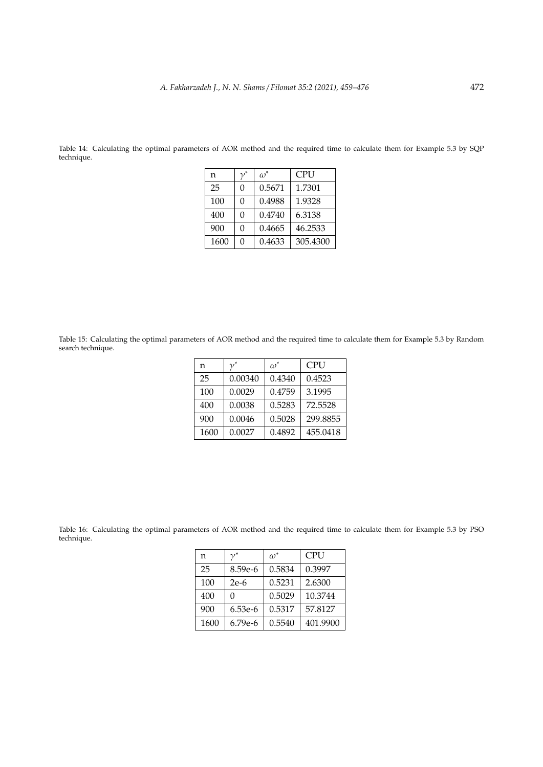| n    | $\nu^*$ | $\omega^*$ | <b>CPU</b> |
|------|---------|------------|------------|
| 25   | 0       | 0.5671     | 1.7301     |
| 100  | O       | 0.4988     | 1.9328     |
| 400  | O       | 0.4740     | 6.3138     |
| 900  | O       | 0.4665     | 46.2533    |
| 1600 | O       | 0.4633     | 305.4300   |

Table 14: Calculating the optimal parameters of AOR method and the required time to calculate them for Example 5.3 by SQP technique.

Table 15: Calculating the optimal parameters of AOR method and the required time to calculate them for Example 5.3 by Random search technique.

| n    | $\nu^*$ | $\omega^*$ | <b>CPU</b> |
|------|---------|------------|------------|
| 25   | 0.00340 | 0.4340     | 0.4523     |
| 100  | 0.0029  | 0.4759     | 3.1995     |
| 400  | 0.0038  | 0.5283     | 72.5528    |
| 900  | 0.0046  | 0.5028     | 299.8855   |
| 1600 | 0.0027  | 0.4892     | 455.0418   |

Table 16: Calculating the optimal parameters of AOR method and the required time to calculate them for Example 5.3 by PSO technique.

| n    | $\nu^*$          | $\omega^*$ | <b>CPU</b> |
|------|------------------|------------|------------|
| 25   | 8.59e-6          | 0.5834     | 0.3997     |
| 100  | 0.5231<br>$2e-6$ |            | 2.6300     |
| 400  |                  | 0.5029     | 10.3744    |
| 900  | 6.53e-6          | 0.5317     | 57.8127    |
| 1600 | 6.79e-6          | 0.5540     | 401.9900   |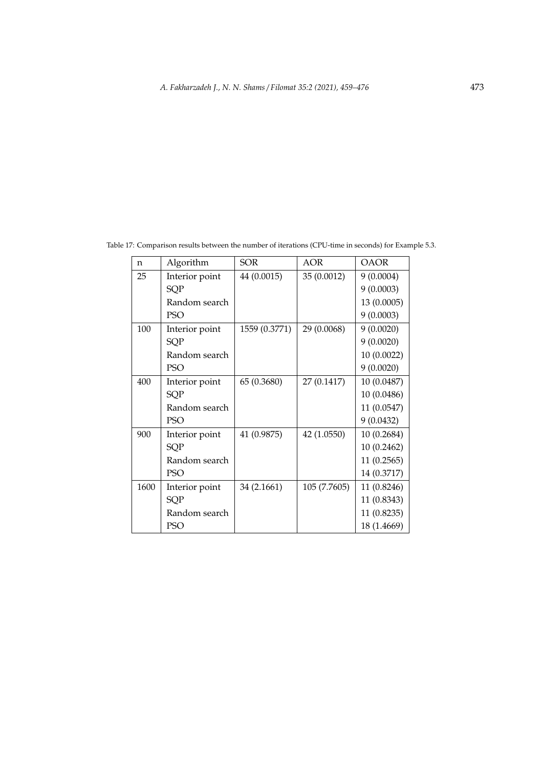| n    | Algorithm      | <b>SOR</b>    | AOR          | <b>OAOR</b> |
|------|----------------|---------------|--------------|-------------|
| 25   | Interior point | 44 (0.0015)   | 35 (0.0012)  | 9(0.0004)   |
|      | SQP            |               |              | 9(0.0003)   |
|      | Random search  |               |              | 13 (0.0005) |
|      | <b>PSO</b>     |               |              | 9(0.0003)   |
| 100  | Interior point | 1559 (0.3771) | 29 (0.0068)  | 9(0.0020)   |
|      | SQP            |               |              | 9(0.0020)   |
|      | Random search  |               |              | 10 (0.0022) |
|      | <b>PSO</b>     |               |              | 9(0.0020)   |
| 400  | Interior point | 65 (0.3680)   | 27 (0.1417)  | 10 (0.0487) |
|      | SQP            |               |              | 10 (0.0486) |
|      | Random search  |               |              | 11 (0.0547) |
|      | <b>PSO</b>     |               |              | 9(0.0432)   |
| 900  | Interior point | 41 (0.9875)   | 42 (1.0550)  | 10 (0.2684) |
|      | SQP            |               |              | 10 (0.2462) |
|      | Random search  |               |              | 11(0.2565)  |
|      | <b>PSO</b>     |               |              | 14 (0.3717) |
| 1600 | Interior point | 34 (2.1661)   | 105 (7.7605) | 11 (0.8246) |
|      | <b>SQP</b>     |               |              | 11 (0.8343) |
|      | Random search  |               |              | 11 (0.8235) |
|      | <b>PSO</b>     |               |              | 18 (1.4669) |

Table 17: Comparison results between the number of iterations (CPU-time in seconds) for Example 5.3.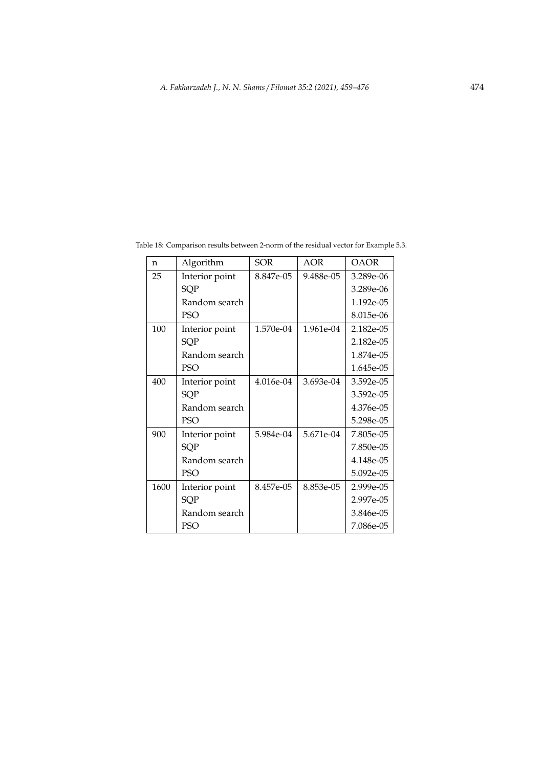| $\mathbf n$ | Algorithm      | <b>SOR</b> | <b>AOR</b> | <b>OAOR</b> |
|-------------|----------------|------------|------------|-------------|
| 25          | Interior point | 8.847e-05  | 9.488e-05  | 3.289e-06   |
|             | SQP            |            |            | 3.289e-06   |
|             | Random search  |            |            | 1.192e-05   |
|             | PSO            |            |            | 8.015e-06   |
| 100         | Interior point | 1.570e-04  | 1.961e-04  | 2.182e-05   |
|             | <b>SQP</b>     |            |            | 2.182e-05   |
|             | Random search  |            |            | 1.874e-05   |
|             | <b>PSO</b>     |            |            | 1.645e-05   |
| 400         | Interior point | 4.016e-04  | 3.693e-04  | 3.592e-05   |
|             | <b>SQP</b>     |            |            | 3.592e-05   |
|             | Random search  |            |            | 4.376e-05   |
|             | <b>PSO</b>     |            |            | 5.298e-05   |
| 900         | Interior point | 5.984e-04  | 5.671e-04  | 7.805e-05   |
|             | <b>SQP</b>     |            |            | 7.850e-05   |
|             | Random search  |            |            | 4.148e-05   |
|             | <b>PSO</b>     |            |            | 5.092e-05   |
| 1600        | Interior point | 8.457e-05  | 8.853e-05  | $2.999e-05$ |
|             | <b>SQP</b>     |            |            | 2.997e-05   |
|             | Random search  |            |            | 3.846e-05   |
|             | PSO            |            |            | 7.086e-05   |

Table 18: Comparison results between 2-norm of the residual vector for Example 5.3.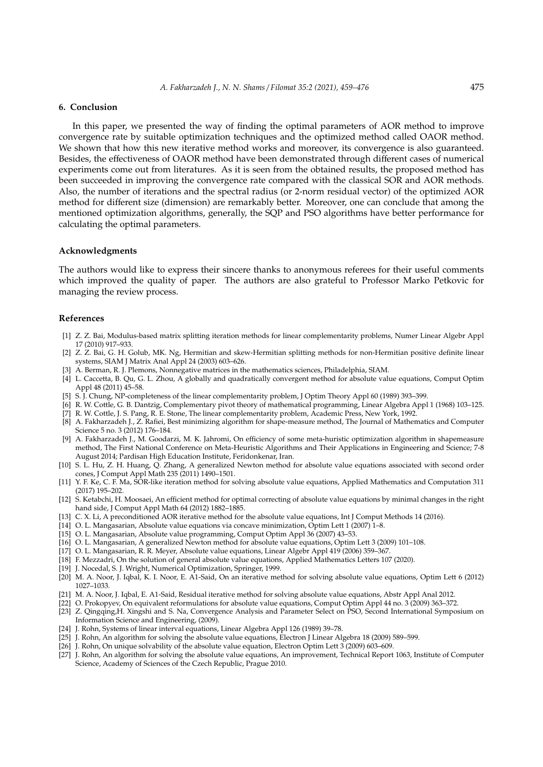## **6. Conclusion**

In this paper, we presented the way of finding the optimal parameters of AOR method to improve convergence rate by suitable optimization techniques and the optimized method called OAOR method. We shown that how this new iterative method works and moreover, its convergence is also guaranteed. Besides, the effectiveness of OAOR method have been demonstrated through different cases of numerical experiments come out from literatures. As it is seen from the obtained results, the proposed method has been succeeded in improving the convergence rate compared with the classical SOR and AOR methods. Also, the number of iterations and the spectral radius (or 2-norm residual vector) of the optimized AOR method for different size (dimension) are remarkably better. Moreover, one can conclude that among the mentioned optimization algorithms, generally, the SQP and PSO algorithms have better performance for calculating the optimal parameters.

## **Acknowledgments**

The authors would like to express their sincere thanks to anonymous referees for their useful comments which improved the quality of paper. The authors are also grateful to Professor Marko Petkovic for managing the review process.

## **References**

- [1] Z. Z. Bai, Modulus-based matrix splitting iteration methods for linear complementarity problems, Numer Linear Algebr Appl 17 (2010) 917–933.
- [2] Z. Z. Bai, G. H. Golub, MK. Ng, Hermitian and skew-Hermitian splitting methods for non-Hermitian positive definite linear systems, SIAM J Matrix Anal Appl 24 (2003) 603–626.
- [3] A. Berman, R. J. Plemons, Nonnegative matrices in the mathematics sciences, Philadelphia, SIAM.
- [4] L. Caccetta, B. Qu, G. L. Zhou, A globally and quadratically convergent method for absolute value equations, Comput Optim Appl 48 (2011) 45–58.
- [5] S. J. Chung, NP-completeness of the linear complementarity problem, J Optim Theory Appl 60 (1989) 393–399.
- [6] R. W. Cottle, G. B. Dantzig, Complementary pivot theory of mathematical programming, Linear Algebra Appl 1 (1968) 103–125.
- [7] R. W. Cottle, J. S. Pang, R. E. Stone, The linear complementarity problem, Academic Press, New York, 1992. [8] A. Fakharzadeh J., Z. Rafiei, Best minimizing algorithm for shape-measure method, The Journal of Mathematics and Computer Science 5 no. 3 (2012) 176–184.
- [9] A. Fakharzadeh J., M. Goodarzi, M. K. Jahromi, On efficiency of some meta-huristic optimization algorithm in shapemeasure method, The First National Conference on Meta-Heuristic Algorithms and Their Applications in Engineering and Science; 7-8 August 2014; Pardisan High Education Institute, Feridonkenar, Iran.
- [10] S. L. Hu, Z. H. Huang, Q. Zhang, A generalized Newton method for absolute value equations associated with second order cones, J Comput Appl Math 235 (2011) 1490–1501.
- [11] Y. F. Ke, C. F. Ma, SOR-like iteration method for solving absolute value equations, Applied Mathematics and Computation 311 (2017) 195–202.
- [12] S. Ketabchi, H. Moosaei, An efficient method for optimal correcting of absolute value equations by minimal changes in the right hand side, J Comput Appl Math 64 (2012) 1882–1885.
- [13] C. X. Li, A preconditioned AOR iterative method for the absolute value equations, Int J Comput Methods 14 (2016).
- [14] O. L. Mangasarian, Absolute value equations via concave minimization, Optim Lett 1 (2007) 1–8.
- [15] O. L. Mangasarian, Absolute value programming, Comput Optim Appl 36 (2007) 43–53.
- [16] O. L. Mangasarian, A generalized Newton method for absolute value equations, Optim Lett 3 (2009) 101–108.
- [17] O. L. Mangasarian, R. R. Meyer, Absolute value equations, Linear Algebr Appl 419 (2006) 359–367.
- [18] F. Mezzadri, On the solution of general absolute value equations, Applied Mathematics Letters 107 (2020).
- [19] J. Nocedal, S. J. Wright, Numerical Optimization, Springer, 1999.
- [20] M. A. Noor, J. Iqbal, K. I. Noor, E. A1-Said, On an iterative method for solving absolute value equations, Optim Lett 6 (2012) 1027–1033.
- [21] M. A. Noor, J. Iqbal, E. A1-Said, Residual iterative method for solving absolute value equations, Abstr Appl Anal 2012.
- [22] O. Prokopyev, On equivalent reformulations for absolute value equations, Comput Optim Appl 44 no. 3 (2009) 363–372.
- [23] Z. Qingqing,H. Xingshi and S. Na, Convergence Analysis and Parameter Select on PSO, Second International Symposium on Information Science and Engineering, (2009).
- [24] J. Rohn, Systems of linear interval equations, Linear Algebra Appl 126 (1989) 39–78.
- [25] J. Rohn, An algorithm for solving the absolute value equations, Electron J Linear Algebra 18 (2009) 589–599.
- [26] J. Rohn, On unique solvability of the absolute value equation, Electron Optim Lett 3 (2009) 603–609.
- [27] J. Rohn, An algorithm for solving the absolute value equations, An improvement, Technical Report 1063, Institute of Computer Science, Academy of Sciences of the Czech Republic, Prague 2010.